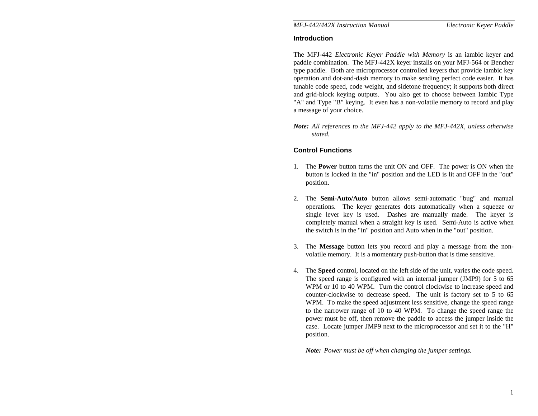## **Introduction**

The MFJ-442 *Electronic Keyer Paddle with Memory* is an iambic keyer and paddle combination. The MFJ-442X keyer installs on your MFJ-564 or Bencher type paddle. Both are microprocessor controlled keyers that provide iambic key operation and dot-and-dash memory to make sending perfect code easier. It has tunable code speed, code weight, and sidetone frequency; it supports both direct and grid-block keying outputs. You also get to choose between Iambic Type "A" and Type "B" keying. It even has a non-volatile memory to record and play a message of your choice.

*Note: All references to the MFJ-442 apply to the MFJ-442X, unless otherwise stated.* 

# **Control Functions**

- 1. The **Power** button turns the unit ON and OFF. The power is ON when the button is locked in the "in" position and the LED is lit and OFF in the "out" position.
- 2. The **Semi-Auto/Auto** button allows semi-automatic "bug" and manual operations. The keyer generates dots automatically when a squeeze or single lever key is used. Dashes are manually made. The keyer is completely manual when a straight key is used. Semi-Auto is active when the switch is in the "in" position and Auto when in the "out" position.
- 3. The **Message** button lets you record and play a message from the nonvolatile memory. It is a momentary push-button that is time sensitive.
- 4. The **Speed** control, located on the left side of the unit, varies the code speed. The speed range is configured with an internal jumper (JMP9) for 5 to 65 WPM or 10 to 40 WPM. Turn the control clockwise to increase speed and counter-clockwise to decrease speed. The unit is factory set to 5 to 65 WPM. To make the speed adjustment less sensitive, change the speed range to the narrower range of 10 to 40 WPM. To change the speed range the power must be off, then remove the paddle to access the jumper inside the case. Locate jumper JMP9 next to the microprocessor and set it to the "H" position.

*Note: Power must be off when changing the jumper settings.*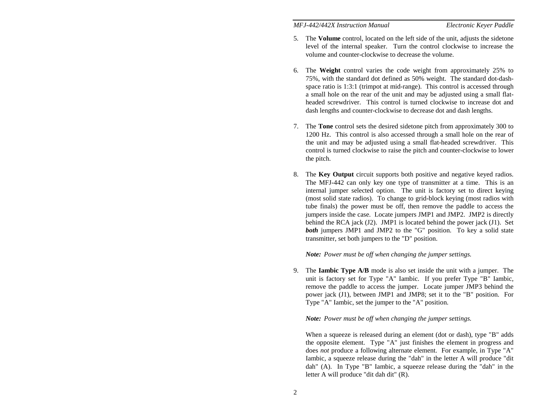- 5. The **Volume** control, located on the left side of the unit, adjusts the sidetone level of the internal speaker. Turn the control clockwise to increase the volume and counter-clockwise to decrease the volume.
- 6. The **Weight** control varies the code weight from approximately 25% to 75%, with the standard dot defined as 50% weight. The standard dot-dashspace ratio is 1:3:1 (trimpot at mid-range). This control is accessed through a small hole on the rear of the unit and may be adjusted using a small flatheaded screwdriver. This control is turned clockwise to increase dot and dash lengths and counter-clockwise to decrease dot and dash lengths.
- 7. The **Tone** control sets the desired sidetone pitch from approximately 300 to 1200 Hz. This control is also accessed through a small hole on the rear of the unit and may be adjusted using a small flat-headed screwdriver. This control is turned clockwise to raise the pitch and counter-clockwise to lower the pitch.
- 8. The **Key Output** circuit supports both positive and negative keyed radios. The MFJ-442 can only key one type of transmitter at a time. This is an internal jumper selected option. The unit is factory set to direct keying (most solid state radios). To change to grid-block keying (most radios with tube finals) the power must be off, then remove the paddle to access the jumpers inside the case. Locate jumpers JMP1 and JMP2. JMP2 is directly behind the RCA jack (J2). JMP1 is located behind the power jack (J1). Set **both** jumpers JMP1 and JMP2 to the "G" position. To key a solid state transmitter, set both jumpers to the "D" position.

## *Note: Power must be off when changing the jumper settings.*

9. The **Iambic Type A/B** mode is also set inside the unit with a jumper. The unit is factory set for Type "A" Iambic. If you prefer Type "B" Iambic, remove the paddle to access the jumper. Locate jumper JMP3 behind the power jack (J1), between JMP1 and JMP8; set it to the "B" position. For Type "A" Iambic, set the jumper to the "A" position.

## *Note: Power must be off when changing the jumper settings.*

When a squeeze is released during an element (dot or dash), type "B" adds the opposite element. Type "A" just finishes the element in progress and does *not* produce a following alternate element. For example, in Type "A" Iambic, a squeeze release during the "dah" in the letter A will produce "dit dah" (A). In Type "B" Iambic, a squeeze release during the "dah" in the letter A will produce "dit dah dit" (R).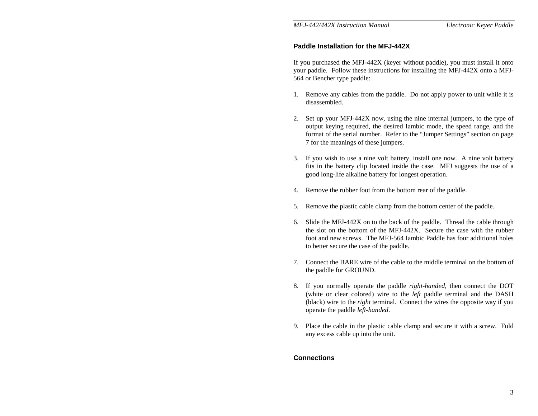# **Paddle Installation for the MFJ-442X**

If you purchased the MFJ-442X (keyer without paddle), you must install it onto your paddle. Follow these instructions for installing the MFJ-442X onto a MFJ-564 or Bencher type paddle:

- 1. Remove any cables from the paddle. Do not apply power to unit while it is disassembled.
- 2. Set up your MFJ-442X now, using the nine internal jumpers, to the type of output keying required, the desired Iambic mode, the speed range, and the format of the serial number. Refer to the "Jumper Settings" section on page 7 for the meanings of these jumpers.
- 3. If you wish to use a nine volt battery, install one now. A nine volt battery fits in the battery clip located inside the case. MFJ suggests the use of a good long-life alkaline battery for longest operation.
- 4. Remove the rubber foot from the bottom rear of the paddle.
- 5. Remove the plastic cable clamp from the bottom center of the paddle.
- 6. Slide the MFJ-442X on to the back of the paddle. Thread the cable through the slot on the bottom of the MFJ-442X. Secure the case with the rubber foot and new screws. The MFJ-564 Iambic Paddle has four additional holes to better secure the case of the paddle.
- 7. Connect the BARE wire of the cable to the middle terminal on the bottom of the paddle for GROUND.
- 8. If you normally operate the paddle *right-handed*, then connect the DOT (white or clear colored) wire to the *left* paddle terminal and the DASH (black) wire to the *right* terminal. Connect the wires the opposite way if you operate the paddle *left-handed*.
- 9. Place the cable in the plastic cable clamp and secure it with a screw. Fold any excess cable up into the unit.

# **Connections**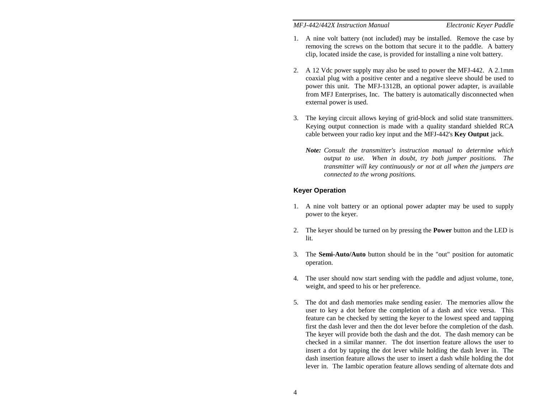- 1. A nine volt battery (not included) may be installed. Remove the case by removing the screws on the bottom that secure it to the paddle. A battery clip, located inside the case, is provided for installing a nine volt battery.
- 2. A 12 Vdc power supply may also be used to power the MFJ-442. A 2.1mm coaxial plug with a positive center and a negative sleeve should be used to power this unit. The MFJ-1312B, an optional power adapter, is available from MFJ Enterprises, Inc. The battery is automatically disconnected when external power is used.
- 3. The keying circuit allows keying of grid-block and solid state transmitters. Keying output connection is made with a quality standard shielded RCA cable between your radio key input and the MFJ-442's **Key Output** jack.
	- *Note: Consult the transmitter's instruction manual to determine which output to use. When in doubt, try both jumper positions. The transmitter will key continuously or not at all when the jumpers are connected to the wrong positions.*

# **Keyer Operation**

- 1. A nine volt battery or an optional power adapter may be used to supply power to the keyer.
- 2. The keyer should be turned on by pressing the **Power** button and the LED is lit.
- 3. The **Semi-Auto/Auto** button should be in the "out" position for automatic operation.
- 4. The user should now start sending with the paddle and adjust volume, tone, weight, and speed to his or her preference.
- 5. The dot and dash memories make sending easier. The memories allow the user to key a dot before the completion of a dash and vice versa. This feature can be checked by setting the keyer to the lowest speed and tapping first the dash lever and then the dot lever before the completion of the dash. The keyer will provide both the dash and the dot. The dash memory can be checked in a similar manner. The dot insertion feature allows the user to insert a dot by tapping the dot lever while holding the dash lever in. The dash insertion feature allows the user to insert a dash while holding the dot lever in. The Iambic operation feature allows sending of alternate dots and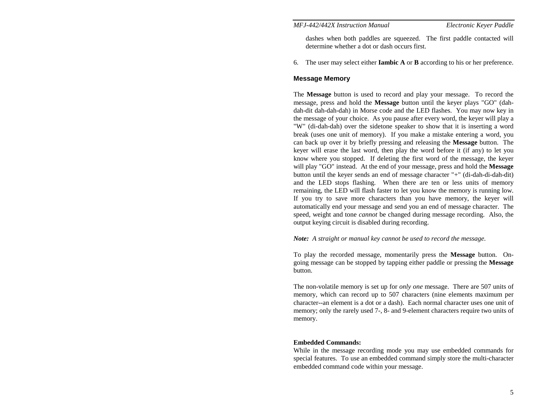dashes when both paddles are squeezed. The first paddle contacted will determine whether a dot or dash occurs first.

6. The user may select either **Iambic A** or **B** according to his or her preference.

## **Message Memory**

The **Message** button is used to record and play your message. To record the message, press and hold the **Message** button until the keyer plays "GO" (dahdah-dit dah-dah-dah) in Morse code and the LED flashes. You may now key in the message of your choice. As you pause after every word, the keyer will play a "W" (di-dah-dah) over the sidetone speaker to show that it is inserting a word break (uses one unit of memory). If you make a mistake entering a word, you can back up over it by briefly pressing and releasing the **Message** button. The keyer will erase the last word, then play the word before it (if any) to let you know where you stopped. If deleting the first word of the message, the keyer will play "GO" instead. At the end of your message, press and hold the **Message** button until the keyer sends an end of message character "+" (di-dah-di-dah-dit) and the LED stops flashing. When there are ten or less units of memory remaining, the LED will flash faster to let you know the memory is running low. If you try to save more characters than you have memory, the keyer will automatically end your message and send you an end of message character. The speed, weight and tone *cannot* be changed during message recording. Also, the output keying circuit is disabled during recording.

*Note: A straight or manual key cannot be used to record the message.* 

To play the recorded message, momentarily press the **Message** button. Ongoing message can be stopped by tapping either paddle or pressing the **Message** button.

The non-volatile memory is set up for *only one* message. There are 507 units of memory, which can record up to 507 characters (nine elements maximum per character--an element is a dot or a dash). Each normal character uses one unit of memory; only the rarely used 7-, 8- and 9-element characters require two units of memory.

## **Embedded Commands:**

While in the message recording mode you may use embedded commands for special features. To use an embedded command simply store the multi-character embedded command code within your message.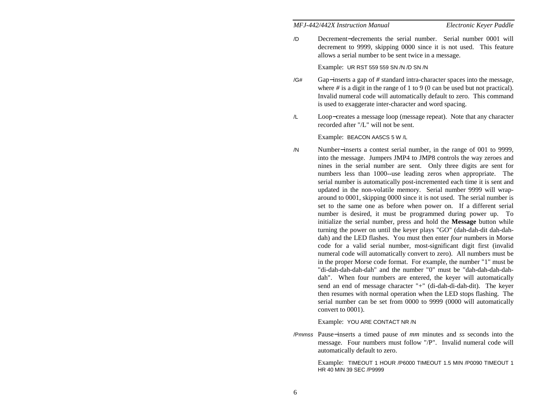/D Decrement−decrements the serial number. Serial number 0001 will decrement to 9999, skipping 0000 since it is not used. This feature allows a serial number to be sent twice in a message.

## Example: UR RST 559 559 SN /N /D SN /N

- /G*#* Gap <sup>−</sup>inserts a gap of *#* standard intra-character spaces into the message, where *#* is a digit in the range of 1 to 9 (0 can be used but not practical). Invalid numeral code will automatically default to zero. This command is used to exaggerate inter-character and word spacing.
- /L Loop <sup>−</sup>creates a message loop (message repeat). Note that any character recorded after "/L" will not be sent.

## Example: BEACON AA5CS 5 W /L

/N Number <sup>−</sup>inserts a contest serial number, in the range of 001 to 9999, into the message. Jumpers JMP4 to JMP8 controls the way zeroes and nines in the serial number are sent. Only three digits are sent for numbers less than 1000--use leading zeros when appropriate. The serial number is automatically post-incremented each time it is sent and updated in the non-volatile memory. Serial number 9999 will wraparound to 0001, skipping 0000 since it is not used. The serial number is set to the same one as before when power on. If a different serial number is desired, it must be programmed during power up. To initialize the serial number, press and hold the **Message** button while turning the power on until the keyer plays "GO" (dah-dah-dit dah-dahdah) and the LED flashes. You must then enter *four* numbers in Morse code for a valid serial number, most-significant digit first (invalid numeral code will automatically convert to zero). All numbers must be in the proper Morse code format. For example, the number "1" must be "di-dah-dah-dah-dah" and the number "0" must be "dah-dah-dah-dahdah". When four numbers are entered, the keyer will automatically send an end of message character "+" (di-dah-di-dah-dit). The keyer then resumes with normal operation when the LED stops flashing. The serial number can be set from 0000 to 9999 (0000 will automatically convert to 0001).

## Example: YOU ARE CONTACT NR /N

/P*mmss* Pause <sup>−</sup>inserts a timed pause of *mm* minutes and *ss* seconds into the message. Four numbers must follow "/P". Invalid numeral code will automatically default to zero.

> Example: TIMEOUT 1 HOUR /P6000 TIMEOUT 1.5 MIN /P0090 TIMEOUT 1 HR 40 MIN 39 SEC /P9999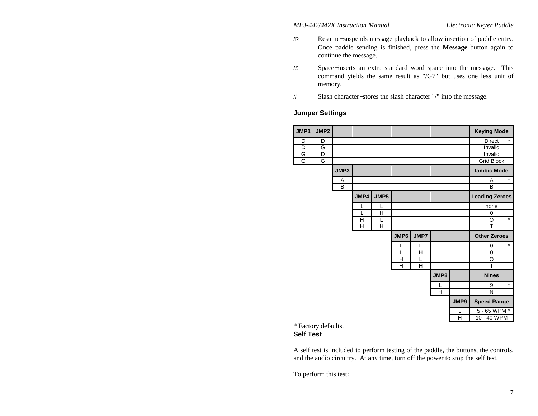- /R Resume <sup>−</sup>suspends message playback to allow insertion of paddle entry. Once paddle sending is finished, press the **Message** button again to continue the message.
- /S Space <sup>−</sup>inserts an extra standard word space into the message. This command yields the same result as "/G7" but uses one less unit of memory.
- // Slash character <sup>−</sup>stores the slash character "/" into the message.

# **Jumper Settings**

| JMP1 | JMP2 |      |      |      |      |      |                    |                         | <b>Keying Mode</b>    |  |  |
|------|------|------|------|------|------|------|--------------------|-------------------------|-----------------------|--|--|
| D    | D    |      |      |      |      |      |                    |                         | *<br><b>Direct</b>    |  |  |
| D    | G    |      |      |      |      |      |                    |                         | Invalid               |  |  |
| G    | D    |      |      |      |      |      |                    |                         | Invalid               |  |  |
| G    | G    |      |      |      |      |      | <b>Grid Block</b>  |                         |                       |  |  |
|      |      | JMP3 |      |      |      |      | <b>lambic Mode</b> |                         |                       |  |  |
|      |      | Α    |      |      |      |      |                    | $\star$<br>A            |                       |  |  |
|      |      | B    |      |      |      |      | B                  |                         |                       |  |  |
|      |      |      | JMP4 | JMP5 |      |      |                    |                         | <b>Leading Zeroes</b> |  |  |
|      |      |      | L    |      |      |      |                    | none                    |                       |  |  |
|      |      |      | L    | H    |      |      |                    | 0                       |                       |  |  |
|      |      |      | H    | L    |      |      |                    | $\star$<br>O            |                       |  |  |
|      |      |      | H    | H    |      |      |                    | $\overline{\mathsf{T}}$ |                       |  |  |
|      |      |      |      |      | JMP6 | JMP7 |                    |                         | <b>Other Zeroes</b>   |  |  |
|      |      |      |      |      | L    | L    |                    |                         | $\star$<br>0          |  |  |
|      |      |      |      |      | L    | н    |                    |                         | $\mathbf 0$           |  |  |
|      |      |      |      |      | Н    | L    |                    |                         | O                     |  |  |
|      |      |      |      |      | н    | Н    |                    |                         | ₸                     |  |  |
|      |      |      |      |      |      |      | JMP8               |                         | <b>Nines</b>          |  |  |
|      |      |      |      |      |      |      |                    |                         | $\star$<br>9          |  |  |
|      |      |      |      |      |      |      | Η                  |                         | N                     |  |  |
|      |      |      |      |      |      |      |                    | JMP9                    | <b>Speed Range</b>    |  |  |
|      |      |      |      |      |      |      |                    | L                       | 5 - 65 WPM *          |  |  |
|      |      |      |      |      |      |      |                    | H                       | 10 - 40 WPM           |  |  |

\* Factory defaults.

# **Self Test**

A self test is included to perform testing of the paddle, the buttons, the controls, and the audio circuitry. At any time, turn off the power to stop the self test.

To perform this test: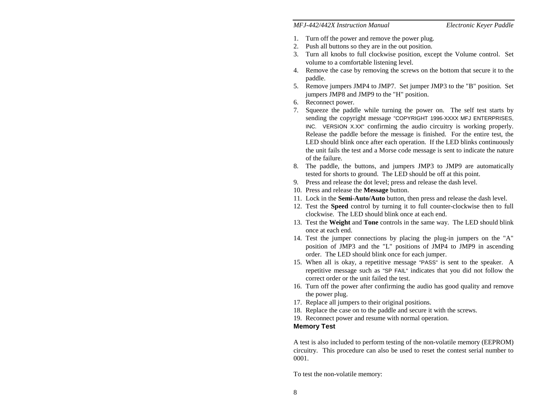- 1. Turn off the power and remove the power plug.
- 2. Push all buttons so they are in the out position.
- 3. Turn all knobs to full clockwise position, except the Volume control. Set volume to a comfortable listening level.
- 4. Remove the case by removing the screws on the bottom that secure it to the paddle.
- 5. Remove jumpers JMP4 to JMP7. Set jumper JMP3 to the "B" position. Set jumpers JMP8 and JMP9 to the "H" position.
- 6. Reconnect power.
- 7. Squeeze the paddle while turning the power on. The self test starts by sending the copyright message "COPYRIGHT 1996-XXXX MFJ ENTERPRISES, INC. VERSION X.XX" confirming the audio circuitry is working properly. Release the paddle before the message is finished. For the entire test, the LED should blink once after each operation. If the LED blinks continuously the unit fails the test and a Morse code message is sent to indicate the nature of the failure.
- 8. The paddle, the buttons, and jumpers JMP3 to JMP9 are automatically tested for shorts to ground. The LED should be off at this point.
- 9. Press and release the dot level; press and release the dash level.
- 10. Press and release the **Message** button.
- 11. Lock in the **Semi-Auto/Auto** button, then press and release the dash level.
- 12. Test the **Speed** control by turning it to full counter-clockwise then to full clockwise. The LED should blink once at each end.
- 13. Test the **Weight** and **Tone** controls in the same way. The LED should blink once at each end.
- 14. Test the jumper connections by placing the plug-in jumpers on the "A" position of JMP3 and the "L" positions of JMP4 to JMP9 in ascending order. The LED should blink once for each jumper.
- 15. When all is okay, a repetitive message "PASS" is sent to the speaker. A repetitive message such as "SP FAIL" indicates that you did not follow the correct order or the unit failed the test.
- 16. Turn off the power after confirming the audio has good quality and remove the power plug.
- 17. Replace all jumpers to their original positions.
- 18. Replace the case on to the paddle and secure it with the screws.
- 19. Reconnect power and resume with normal operation.

# **Memory Test**

A test is also included to perform testing of the non-volatile memory (EEPROM) circuitry. This procedure can also be used to reset the contest serial number to 0001.

To test the non-volatile memory: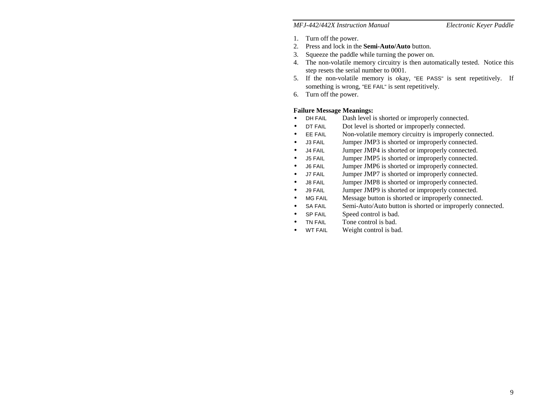- 1. Turn off the power.
- 2. Press and lock in the **Semi-Auto/Auto** button.
- 3. Squeeze the paddle while turning the power on.
- 4. The non-volatile memory circuitry is then automatically tested. Notice this step resets the serial number to 0001.
- 5. If the non-volatile memory is okay, "EE PASS" is sent repetitively. If something is wrong, "EE FAIL" is sent repetitively.
- 6. Turn off the power.

# **Failure Message Meanings:**

- DH FAIL Dash level is shorted or improperly connected.
- DT FAIL Dot level is shorted or improperly connected.
- EE FAIL Non-volatile memory circuitry is improperly connected.
- J3 FAIL Jumper JMP3 is shorted or improperly connected.
- J4 FAIL Jumper JMP4 is shorted or improperly connected.
- J<sub>5</sub> FAIL Jumper JMP<sub>5</sub> is shorted or improperly connected.
- J6 FAIL Jumper JMP6 is shorted or improperly connected.
- J7 FAIL Jumper JMP7 is shorted or improperly connected.
- J8 FAIL Jumper JMP8 is shorted or improperly connected.
- J9 FAIL Jumper JMP9 is shorted or improperly connected.
- MG FAIL Message button is shorted or improperly connected.
- SA FAIL Semi-Auto/Auto button is shorted or improperly connected.
- SP FAIL Speed control is bad.
- TN FAIL Tone control is bad.
- WT FAIL Weight control is bad.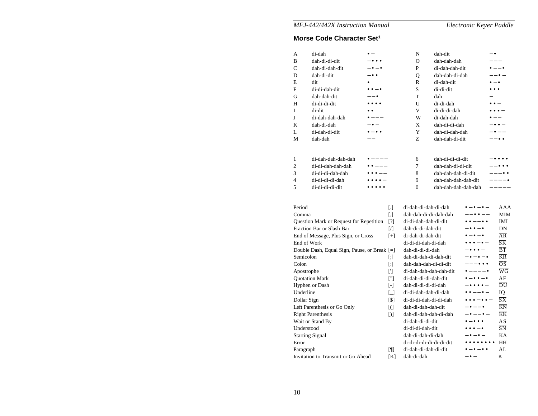# **Morse Code Character Set1**

| А                                       | di-dah                                       |                          |                                        | N                        | dah-dit                                     |                                          | $- \bullet$              |                                          |
|-----------------------------------------|----------------------------------------------|--------------------------|----------------------------------------|--------------------------|---------------------------------------------|------------------------------------------|--------------------------|------------------------------------------|
| B                                       | dah-di-di-dit                                |                          |                                        | $\Omega$                 | dah-dah-dah                                 |                                          |                          |                                          |
| $\mathsf{C}$                            | dah-di-dah-dit                               | $\bullet - \bullet$      |                                        | P                        | di-dah-dah-dit                              |                                          | $\bullet$ $ \bullet$     |                                          |
| D                                       | dah-di-dit                                   | -                        |                                        | Q                        | dah-dah-di-dah                              |                                          |                          | $--\bullet-$                             |
| E                                       | dit                                          |                          |                                        | R                        | di-dah-dit                                  |                                          | $\bullet - \bullet$      |                                          |
| F                                       | di-di-dah-dit                                | $\bullet\bullet-\bullet$ |                                        | S                        | di-di-dit                                   |                                          | $\ddotsc$                |                                          |
| G                                       | dah-dah-dit                                  | $- - \bullet$            |                                        | T                        | dah                                         |                                          |                          |                                          |
| Н                                       | di-di-di-dit                                 | $\bullet\bullet\bullet$  |                                        | U                        | di-di-dah                                   |                                          | $\bullet$ $\bullet$ $-$  |                                          |
| I                                       | di-dit                                       |                          |                                        | V                        | di-di-di-dah                                |                                          | $\bullet\bullet\bullet-$ |                                          |
| J                                       | di-dah-dah-dah                               | $\bullet$ $--$           |                                        | W                        | di-dah-dah                                  |                                          | $\bullet$ $ -$           |                                          |
| K                                       | dah-di-dah                                   | $- \bullet -$            |                                        | X                        | dah-di-di-dah                               |                                          |                          | $- \bullet \bullet -$                    |
| L                                       | di-dah-di-dit                                | $\bullet-\bullet\bullet$ |                                        | Y                        | dah-di-dah-dah                              |                                          |                          | $\bullet$ $-$                            |
| M                                       | dah-dah                                      |                          |                                        | Z                        | dah-dah-di-dit                              |                                          |                          | $--\bullet\bullet$                       |
|                                         |                                              |                          |                                        |                          |                                             |                                          |                          |                                          |
| 1                                       | di-dah-dah-dah-dah                           | $  -$                    |                                        | 6                        | dah-di-di-di-dit                            |                                          |                          |                                          |
| $\overline{2}$                          | di-di-dah-dah-dah                            | $\bullet$ $ -$           |                                        | 7                        | dah-dah-di-di-dit                           |                                          |                          | $--\bullet\bullet\bullet$                |
| 3                                       | di-di-di-dah-dah                             | $\bullet$ $\bullet$ $ -$ |                                        | 8                        | dah-dah-dah-di-dit                          |                                          |                          | $--- \bullet \bullet$                    |
| $\overline{4}$                          | di-di-di-di-dah                              |                          |                                        | 9                        | dah-dah-dah-dah-dit                         |                                          |                          | $--- -$                                  |
| 5                                       | di-di-di-di-dit                              |                          |                                        | $\mathbf{0}$             | dah-dah-dah-dah-dah                         |                                          |                          |                                          |
|                                         |                                              |                          |                                        |                          |                                             |                                          |                          |                                          |
|                                         |                                              |                          |                                        |                          |                                             |                                          |                          |                                          |
| Period                                  |                                              |                          | $[.]$                                  | di-dah-di-dah-di-dah     |                                             | $\bullet - \bullet - \bullet -$          |                          | AAA                                      |
| Comma                                   |                                              |                          | IJ                                     | dah-dah-di-di-dah-dah    |                                             | $--\bullet\bullet--$                     |                          | $\overline{\text{MIM}}$                  |
| Question Mark or Request for Repetition |                                              |                          | $\lceil ? \rceil$                      | di-di-dah-dah-di-dit     |                                             | $\bullet$ $\bullet$ $ \bullet$ $\bullet$ |                          | $\overline{\text{IMI}}$                  |
| Fraction Bar or Slash Bar               |                                              |                          | $\sqrt{ }$                             | dah-di-di-dah-dit        |                                             | $- \bullet \bullet - \bullet$            |                          | $\overline{DN}$                          |
| End of Message, Plus Sign, or Cross     |                                              |                          | $[+]$                                  | di-dah-di-dah-dit        |                                             | $ \bullet$ $ \bullet$                    |                          | $\overline{AR}$                          |
| End of Work                             |                                              |                          |                                        | di-di-di-dah-di-dah      |                                             | $\bullet \bullet - \bullet -$            |                          | $\overline{\text{SK}}$                   |
|                                         | Double Dash, Equal Sign, Pause, or Break [=] |                          |                                        | dah-di-di-di-dah         |                                             | $- \bullet \bullet \bullet -$            |                          | $\rm\overline{B}\overline{T}$            |
| Semicolon                               |                                              |                          | [;]                                    | dah-di-dah-di-dah-dit    |                                             | $-$ o $-$ o $-$ o                        |                          | $\overline{\text{KR}}$                   |
| Colon                                   |                                              |                          | Ŀ1                                     | dah-dah-dah-di-di-dit    |                                             | $--- \bullet \bullet \bullet$            |                          | $\overline{OS}$                          |
| Apostrophe                              |                                              |                          | $\begin{bmatrix} 1 \end{bmatrix}$      | di-dah-dah-dah-dah-dit   |                                             | $\bullet$ $- -\bullet$                   |                          | $\overline{\text{w}}$ G                  |
|                                         | <b>Quotation Mark</b>                        |                          | $[$                                    | di-dah-di-di-dah-dit     |                                             | $\bullet - \bullet \bullet - \bullet$    |                          | AF                                       |
| Hyphen or Dash                          |                                              |                          | $[ - ]$                                | dah-di-di-di-di-dah      |                                             | -                                        |                          | $\overline{\rm DU}$                      |
| Underline                               |                                              |                          | $\begin{bmatrix} 1 \\ 1 \end{bmatrix}$ | di-di-dah-dah-di-dah     |                                             | $\bullet$ $\bullet$ $ \bullet$ $-$       |                          | ĪQ                                       |
| Dollar Sign                             |                                              |                          | [\$]                                   | di-di-di-dah-di-di-dah   |                                             | $\bullet\bullet\bullet-\bullet\bullet-$  |                          | $\overline{\text{S}}\overline{\text{X}}$ |
| Left Parenthesis or Go Only             |                                              |                          | $\overline{a}$                         |                          | dah-di-dah-dah-dit<br>$ \bullet$ $ \bullet$ |                                          |                          | $\overline{KN}$                          |
|                                         | <b>Right Parenthesis</b>                     |                          | D)                                     | dah-di-dah-dah-di-dah    |                                             | $-$ 0 $-$ 0 $-$                          |                          | $\overline{\text{KK}}$                   |
|                                         | Wait or Stand By                             |                          |                                        | di-dah-di-di-dit         |                                             | $\bullet - \bullet \bullet \bullet$      |                          | AS                                       |
| Understood                              |                                              |                          |                                        | di-di-di-dah-dit         |                                             | $\bullet\bullet\bullet-\bullet$          |                          | $\overline{\text{SN}}$                   |
| <b>Starting Signal</b>                  |                                              |                          |                                        | dah-di-dah-di-dah        |                                             | $ \bullet$ $-$                           |                          | $\overline{KA}$                          |
| Error                                   |                                              |                          |                                        | di-di-di-di-di-di-di-dit |                                             | $\bullet\bullet\bullet\bullet$           |                          | HH                                       |
| Paragraph                               |                                              |                          | $[\P]$                                 | di-dah-di-dah-di-dit     | $\bullet-\bullet-\bullet\bullet$            |                                          |                          | $\overline{AL}$                          |
| Invitation to Transmit or Go Ahead      |                                              |                          | [K]                                    | dah-di-dah               |                                             | – • –                                    |                          | K                                        |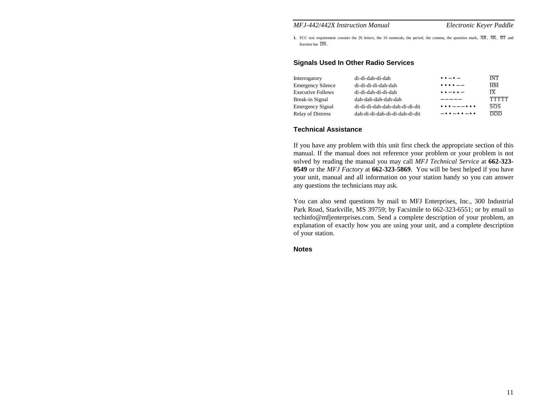**1.** FCC test requirement consists the 26 letters, the 10 numerals, the period, the comma, the question mark,  $\overline{AR}$ ,  $\overline{SK}$ ,  $\overline{BT}$  and fraction bar DN.

#### **Signals Used In Other Radio Services**

| Interrogatory            | di-di-dah-di-dah               | $\bullet$ $\bullet$ $ \bullet$ $-$              | <b>INT</b>                               |
|--------------------------|--------------------------------|-------------------------------------------------|------------------------------------------|
| <b>Emergency Silence</b> | di-di-di-di-dah-dah            | $\bullet\bullet\bullet\bullet--$                | $\overline{HM}$                          |
| <b>Executive Follows</b> | di-di-dah-di-di-dah            | $\bullet \bullet - \bullet \bullet -$           | $\overline{IX}$                          |
| Break-in Signal          | dah-dah-dah-dah-dah            | $- - - - -$                                     | <b>TTTTT</b>                             |
| <b>Emergency Signal</b>  | di-di-di-dah-dah-dah-di-di-dit | $\bullet\bullet\bullet---\bullet\bullet\bullet$ | $\overline{s} \overline{o} \overline{s}$ |
| <b>Relay of Distress</b> | dah-di-di-dah-di-di-dah-di-dit | $-00 - 00 - 00$                                 | <b>DDD</b>                               |

## **Technical Assistance**

If you have any problem with this unit first check the appropriate section of this manual. If the manual does not reference your problem or your problem is not solved by reading the manual you may call *MFJ Technical Service* at **662-323- 0549** or the *MFJ Factory* at **662-323-5869**. You will be best helped if you have your unit, manual and all information on your station handy so you can answer any questions the technicians may ask.

You can also send questions by mail to MFJ Enterprises, Inc., 300 Industrial Park Road, Starkville, MS 39759; by Facsimile to 662-323-6551; or by email to techinfo@mfjenterprises.com. Send a complete description of your problem, an explanation of exactly how you are using your unit, and a complete description of your station.

## **Notes**